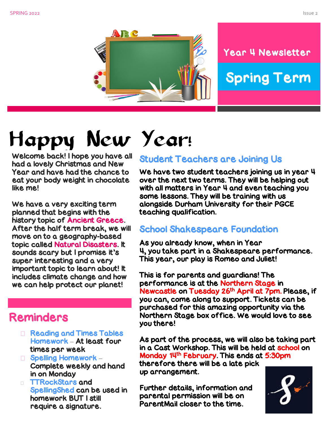



#### Year 4 Newsletter

# Spring Term

# Happy New Year!

Welcome back! I hope you have all had a lovely Christmas and New Year and have had the chance to eat your body weight in chocolate like me!

We have a very exciting term planned that begins with the history topic of Ancient Greece. After the half term break, we will move on to a geography-based topic called Natural Disasters. It sounds scary but I promise it's super interesting and a very important topic to learn about! It includes climate change and how we can help protect our planet!

### Reminders

- Reading and Times Tables Homework – At least four times per week
- **□ Spelling Homework** Complete weekly and hand in on Monday
- **TTRockStars and** SpellingShed can be used in homework BUT I still require a signature.

#### Student Teachers are Joining Us

We have two student teachers joining us in year 4 over the next two terms. They will be helping out with all matters in Year 4 and even teaching you some lessons. They will be training with us alongside Durham University for their PGCE teaching qualification.

#### School Shakespeare Foundation

As you already know, when in Year 4, you take part in a Shakespeare performance. This year, our play is Romeo and Juliet!

This is for parents and guardians! The performance is at the Northern Stage in Newcastle on Tuesday 26th April at 7pm. Please, if you can, come along to support. Tickets can be purchased for this amazing opportunity via the Northern Stage box office. We would love to see you there!

As part of the process, we will also be taking part in a Cast Workshop. This will be held at school on Monday 14th February. This ends at 5:30pm

therefore there will be a late pick up arrangement.

Further details, information and parental permission will be on ParentMail closer to the time.